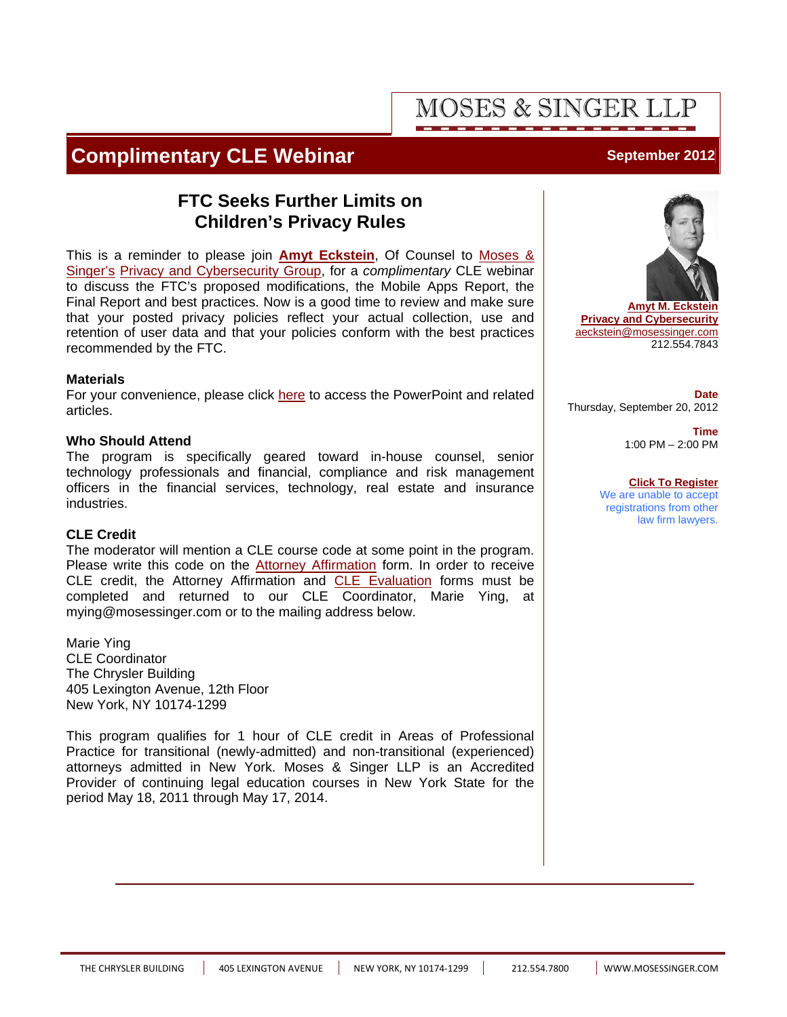# **MOSES & SINGER I**

## **Complimentary CLE Webinar Manual Complimentary CLE Webinar Manual Complimentary CLE**

## **FTC Seeks Further Limits on Children's Privacy Rules**

This is a reminder to please join **[Amyt Eckstein](http://www.mosessinger.com/personnel/aeckstein/)**, Of Counsel to Moses & Singer's [Privacy and Cybersecurity Group, for a](http://www.mosessinger.com/firm_profile/firm_description.php) *complimentary* CLE webinar to discuss the FTC's proposed modifications, the Mobile Apps Report, the Final Report and best practices. Now is a good time to review and make sure that your posted privacy policies reflect your actual collection, use and retention of user data and that your policies conform with the best practices recommended by the FTC.

### **Materials**

For your convenience, please click [here](http://www.mosessinger.com/articles/files/ChildrensPrivacyRules_Materials.pdf) to access the PowerPoint and related articles.

### **Who Should Attend**

The program is specifically geared toward in-house counsel, senior technology professionals and financial, compliance and risk management officers in the financial services, technology, real estate and insurance industries.

### **CLE Credit**

The moderator will mention a CLE course code at some point in the program. Please write this code on the [Attorney Affirmation](www.mosessinger.com/articles/files/AttorneyAffirmationCLEForm.pdf) form. In order to receive CLE credit, the Attorney Affirmation and [CLE Evaluation](www.mosessinger.com/articles/files/CLEEvaluationForm_ChildrensPrivacyRules.pdf) forms must be completed and returned to our CLE Coordinator, Marie Ying, at mying@mosessinger.com or to the mailing address below.

Marie Ying CLE Coordinator The Chrysler Building 405 Lexington Avenue, 12th Floor New York, NY 10174-1299

This program qualifies for 1 hour of CLE credit in Areas of Professional Practice for transitional (newly-admitted) and non-transitional (experienced) attorneys admitted in New York. Moses & Singer LLP is an Accredited Provider of continuing legal education courses in New York State for the period May 18, 2011 through May 17, 2014.



**[Amyt M. Eckstein](http://www.mosessinger.com/personnel/aeckstein/) [Privacy and Cybersecurity](http://www.mosessinger.com/Privacy_and_Cybersecurity/)** aeckstein@mosessinger.com 212.554.7843

**Date** Thursday, September 20, 2012

> **Time** 1:00 PM – 2:00 PM

### **[Click To Register](https://www1.gotomeeting.com/register/633051912)**

We are unable to accept registrations from other law firm lawyers.